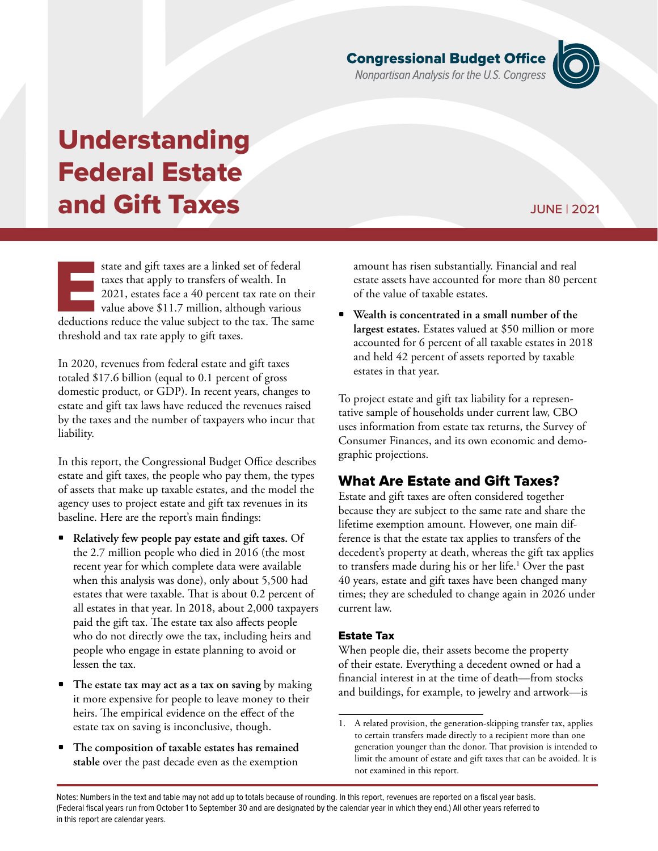Notes: Numbers in the text and table may not add up to totals because of rounding. In this report, revenues are reported on a fiscal year basis. (Federal fiscal years run from October 1 to September 30 and are designated by the calendar year in which they end.) All other years referred to in this report are calendar years.

# **Congressional Budget Office**<br>Nonpartisan Analysis for the U.S. Congress

# Understanding Federal Estate and Gift Taxes

state and gift taxes are a linked set of federal taxes that apply to transfers of wealth. In 2021, estates face a 40 percent tax rate on their value above \$11.7 million, although various deductions reduce the value subject to the tax. The same threshold and tax rate apply to gift taxes.

In 2020, revenues from federal estate and gift taxes totaled \$17.6 billion (equal to 0.1 percent of gross domestic product, or GDP). In recent years, changes to estate and gift tax laws have reduced the revenues raised by the taxes and the number of taxpayers who incur that liability.

In this report, the Congressional Budget Office describes estate and gift taxes, the people who pay them, the types of assets that make up taxable estates, and the model the agency uses to project estate and gift tax revenues in its baseline. Here are the report's main findings:

- **Relatively few people pay estate and gift taxes.** Of the 2.7 million people who died in 2016 (the most recent year for which complete data were available when this analysis was done), only about 5,500 had estates that were taxable. That is about 0.2 percent of all estates in that year. In 2018, about 2,000 taxpayers paid the gift tax. The estate tax also affects people who do not directly owe the tax, including heirs and people who engage in estate planning to avoid or lessen the tax.
- **The estate tax may act as a tax on saving** by making it more expensive for people to leave money to their heirs. The empirical evidence on the effect of the estate tax on saving is inconclusive, though.
- **The composition of taxable estates has remained stable** over the past decade even as the exemption

amount has risen substantially. Financial and real estate assets have accounted for more than 80 percent of the value of taxable estates.

• **Wealth is concentrated in a small number of the largest estates.** Estates valued at \$50 million or more accounted for 6 percent of all taxable estates in 2018 and held 42 percent of assets reported by taxable estates in that year.

To project estate and gift tax liability for a representative sample of households under current law, CBO uses information from estate tax returns, the Survey of Consumer Finances, and its own economic and demographic projections.

# What Are Estate and Gift Taxes?

Estate and gift taxes are often considered together because they are subject to the same rate and share the lifetime exemption amount. However, one main difference is that the estate tax applies to transfers of the decedent's property at death, whereas the gift tax applies to transfers made during his or her life.<sup>1</sup> Over the past 40 years, estate and gift taxes have been changed many times; they are scheduled to change again in 2026 under current law.

## Estate Tax

When people die, their assets become the property of their estate. Everything a decedent owned or had a financial interest in at the time of death—from stocks and buildings, for example, to jewelry and artwork—is

# JUNE | 2021

<sup>1.</sup> A related provision, the generation-skipping transfer tax, applies to certain transfers made directly to a recipient more than one generation younger than the donor. That provision is intended to limit the amount of estate and gift taxes that can be avoided. It is not examined in this report.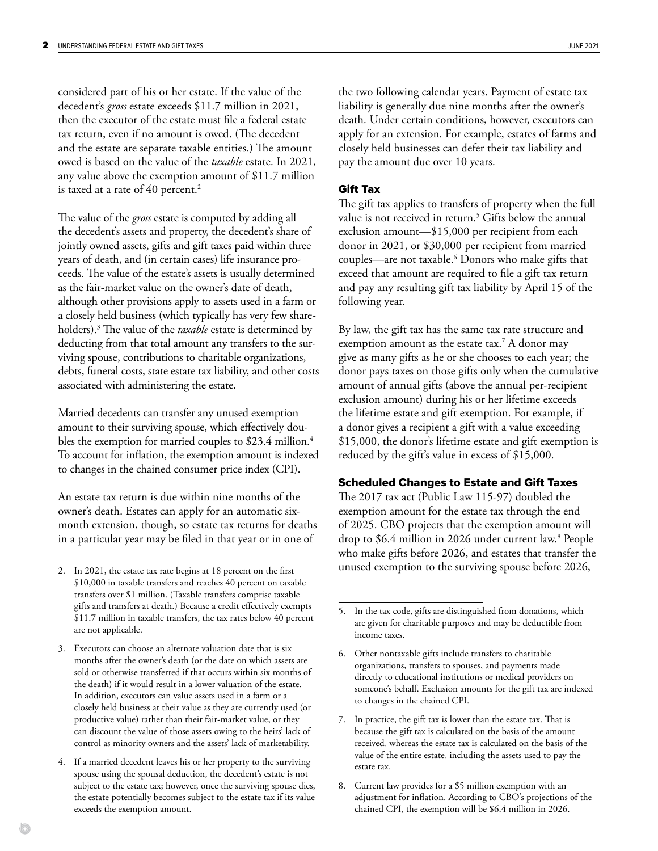considered part of his or her estate. If the value of the decedent's *gross* estate exceeds \$11.7 million in 2021, then the executor of the estate must file a federal estate tax return, even if no amount is owed. (The decedent and the estate are separate taxable entities.) The amount owed is based on the value of the *taxable* estate. In 2021, any value above the exemption amount of \$11.7 million is taxed at a rate of 40 percent.<sup>2</sup>

The value of the *gross* estate is computed by adding all the decedent's assets and property, the decedent's share of jointly owned assets, gifts and gift taxes paid within three years of death, and (in certain cases) life insurance proceeds. The value of the estate's assets is usually determined as the fair-market value on the owner's date of death, although other provisions apply to assets used in a farm or a closely held business (which typically has very few shareholders).3 The value of the *taxable* estate is determined by deducting from that total amount any transfers to the surviving spouse, contributions to charitable organizations, debts, funeral costs, state estate tax liability, and other costs associated with administering the estate.

Married decedents can transfer any unused exemption amount to their surviving spouse, which effectively doubles the exemption for married couples to \$23.4 million.<sup>4</sup> To account for inflation, the exemption amount is indexed to changes in the chained consumer price index (CPI).

An estate tax return is due within nine months of the owner's death. Estates can apply for an automatic sixmonth extension, though, so estate tax returns for deaths in a particular year may be filed in that year or in one of

the two following calendar years. Payment of estate tax liability is generally due nine months after the owner's death. Under certain conditions, however, executors can apply for an extension. For example, estates of farms and closely held businesses can defer their tax liability and pay the amount due over 10 years.

#### Gift Tax

The gift tax applies to transfers of property when the full value is not received in return.5 Gifts below the annual exclusion amount—\$15,000 per recipient from each donor in 2021, or \$30,000 per recipient from married couples—are not taxable.6 Donors who make gifts that exceed that amount are required to file a gift tax return and pay any resulting gift tax liability by April 15 of the following year.

By law, the gift tax has the same tax rate structure and exemption amount as the estate tax.7 A donor may give as many gifts as he or she chooses to each year; the donor pays taxes on those gifts only when the cumulative amount of annual gifts (above the annual per-recipient exclusion amount) during his or her lifetime exceeds the lifetime estate and gift exemption. For example, if a donor gives a recipient a gift with a value exceeding \$15,000, the donor's lifetime estate and gift exemption is reduced by the gift's value in excess of \$15,000.

#### Scheduled Changes to Estate and Gift Taxes

The 2017 tax act (Public Law 115-97) doubled the exemption amount for the estate tax through the end of 2025. CBO projects that the exemption amount will drop to \$6.4 million in 2026 under current law.8 People who make gifts before 2026, and estates that transfer the unused exemption to the surviving spouse before 2026,

<sup>2.</sup> In 2021, the estate tax rate begins at 18 percent on the first \$10,000 in taxable transfers and reaches 40 percent on taxable transfers over \$1 million. (Taxable transfers comprise taxable gifts and transfers at death.) Because a credit effectively exempts \$11.7 million in taxable transfers, the tax rates below 40 percent are not applicable.

<sup>3.</sup> Executors can choose an alternate valuation date that is six months after the owner's death (or the date on which assets are sold or otherwise transferred if that occurs within six months of the death) if it would result in a lower valuation of the estate. In addition, executors can value assets used in a farm or a closely held business at their value as they are currently used (or productive value) rather than their fair-market value, or they can discount the value of those assets owing to the heirs' lack of control as minority owners and the assets' lack of marketability.

<sup>4.</sup> If a married decedent leaves his or her property to the surviving spouse using the spousal deduction, the decedent's estate is not subject to the estate tax; however, once the surviving spouse dies, the estate potentially becomes subject to the estate tax if its value exceeds the exemption amount.

<sup>5.</sup> In the tax code, gifts are distinguished from donations, which are given for charitable purposes and may be deductible from income taxes.

<sup>6.</sup> Other nontaxable gifts include transfers to charitable organizations, transfers to spouses, and payments made directly to educational institutions or medical providers on someone's behalf. Exclusion amounts for the gift tax are indexed to changes in the chained CPI.

<sup>7.</sup> In practice, the gift tax is lower than the estate tax. That is because the gift tax is calculated on the basis of the amount received, whereas the estate tax is calculated on the basis of the value of the entire estate, including the assets used to pay the estate tax.

<sup>8.</sup> Current law provides for a \$5 million exemption with an adjustment for inflation. According to CBO's projections of the chained CPI, the exemption will be \$6.4 million in 2026.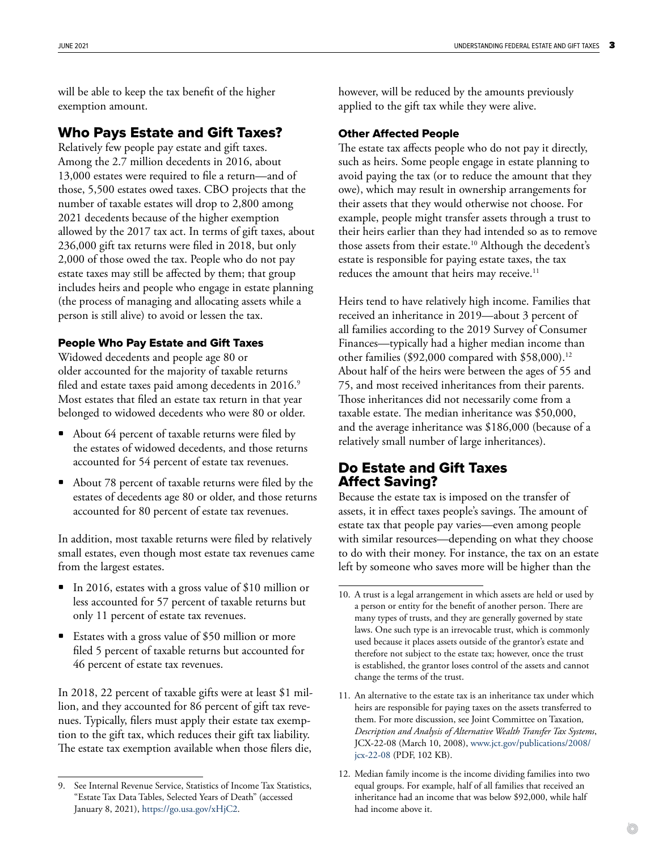will be able to keep the tax benefit of the higher exemption amount.

# Who Pays Estate and Gift Taxes?

Relatively few people pay estate and gift taxes. Among the 2.7 million decedents in 2016, about 13,000 estates were required to file a return—and of those, 5,500 estates owed taxes. CBO projects that the number of taxable estates will drop to 2,800 among 2021 decedents because of the higher exemption allowed by the 2017 tax act. In terms of gift taxes, about 236,000 gift tax returns were filed in 2018, but only 2,000 of those owed the tax. People who do not pay estate taxes may still be affected by them; that group includes heirs and people who engage in estate planning (the process of managing and allocating assets while a person is still alive) to avoid or lessen the tax.

## People Who Pay Estate and Gift Taxes

Widowed decedents and people age 80 or older accounted for the majority of taxable returns filed and estate taxes paid among decedents in 2016.<sup>9</sup> Most estates that filed an estate tax return in that year belonged to widowed decedents who were 80 or older.

- About 64 percent of taxable returns were filed by the estates of widowed decedents, and those returns accounted for 54 percent of estate tax revenues.
- About 78 percent of taxable returns were filed by the estates of decedents age 80 or older, and those returns accounted for 80 percent of estate tax revenues.

In addition, most taxable returns were filed by relatively small estates, even though most estate tax revenues came from the largest estates.

- In 2016, estates with a gross value of \$10 million or less accounted for 57 percent of taxable returns but only 11 percent of estate tax revenues.
- Estates with a gross value of \$50 million or more filed 5 percent of taxable returns but accounted for 46 percent of estate tax revenues.

In 2018, 22 percent of taxable gifts were at least \$1 million, and they accounted for 86 percent of gift tax revenues. Typically, filers must apply their estate tax exemption to the gift tax, which reduces their gift tax liability. The estate tax exemption available when those filers die,

however, will be reduced by the amounts previously applied to the gift tax while they were alive.

# Other Affected People

The estate tax affects people who do not pay it directly, such as heirs. Some people engage in estate planning to avoid paying the tax (or to reduce the amount that they owe), which may result in ownership arrangements for their assets that they would otherwise not choose. For example, people might transfer assets through a trust to their heirs earlier than they had intended so as to remove those assets from their estate.<sup>10</sup> Although the decedent's estate is responsible for paying estate taxes, the tax reduces the amount that heirs may receive.<sup>11</sup>

Heirs tend to have relatively high income. Families that received an inheritance in 2019—about 3 percent of all families according to the 2019 Survey of Consumer Finances—typically had a higher median income than other families (\$92,000 compared with  $$58,000$ ).<sup>12</sup> About half of the heirs were between the ages of 55 and 75, and most received inheritances from their parents. Those inheritances did not necessarily come from a taxable estate. The median inheritance was \$50,000, and the average inheritance was \$186,000 (because of a relatively small number of large inheritances).

# Do Estate and Gift Taxes Affect Saving?

Because the estate tax is imposed on the transfer of assets, it in effect taxes people's savings. The amount of estate tax that people pay varies—even among people with similar resources—depending on what they choose to do with their money. For instance, the tax on an estate left by someone who saves more will be higher than the

See Internal Revenue Service, Statistics of Income Tax Statistics, "Estate Tax Data Tables, Selected Years of Death" (accessed January 8, 2021),<https://go.usa.gov/xHjC2>.

<sup>10.</sup> A trust is a legal arrangement in which assets are held or used by a person or entity for the benefit of another person. There are many types of trusts, and they are generally governed by state laws. One such type is an irrevocable trust, which is commonly used because it places assets outside of the grantor's estate and therefore not subject to the estate tax; however, once the trust is established, the grantor loses control of the assets and cannot change the terms of the trust.

<sup>11.</sup> An alternative to the estate tax is an inheritance tax under which heirs are responsible for paying taxes on the assets transferred to them. For more discussion, see Joint Committee on Taxation*, Description and Analysis of Alternative Wealth Transfer Tax Systems*, JCX-22-08 (March 10, 2008), [www.jct.gov/publications/2008/](http://www.jct.gov/publications/2008/jcx-22-08) [jcx-22-08](http://www.jct.gov/publications/2008/jcx-22-08) (PDF, 102 KB).

<sup>12.</sup> Median family income is the income dividing families into two equal groups. For example, half of all families that received an inheritance had an income that was below \$92,000, while half had income above it.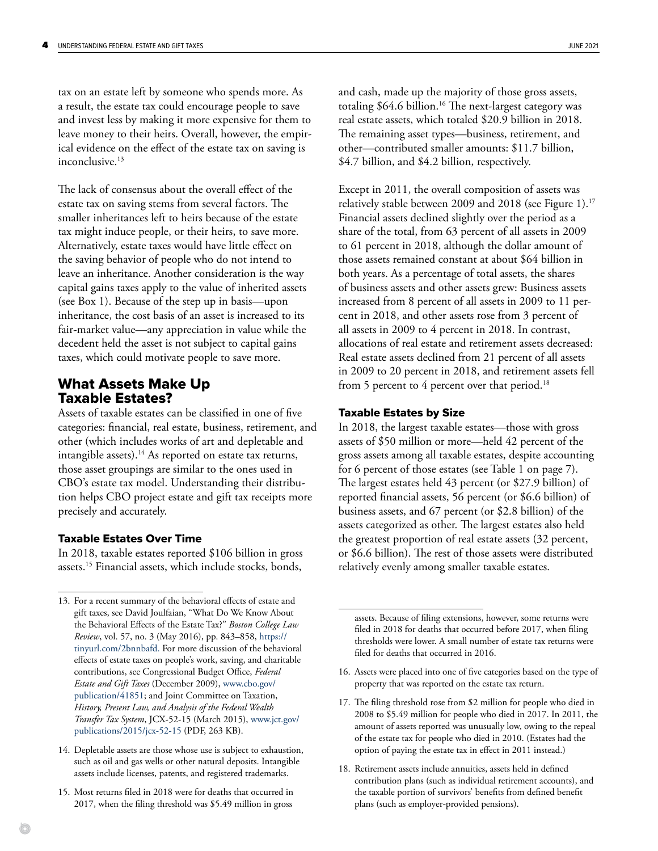tax on an estate left by someone who spends more. As a result, the estate tax could encourage people to save and invest less by making it more expensive for them to leave money to their heirs. Overall, however, the empirical evidence on the effect of the estate tax on saving is inconclusive.<sup>13</sup>

The lack of consensus about the overall effect of the estate tax on saving stems from several factors. The smaller inheritances left to heirs because of the estate tax might induce people, or their heirs, to save more. Alternatively, estate taxes would have little effect on the saving behavior of people who do not intend to leave an inheritance. Another consideration is the way capital gains taxes apply to the value of inherited assets (see [Box 1](#page-4-0)). Because of the step up in basis—upon inheritance, the cost basis of an asset is increased to its fair-market value—any appreciation in value while the decedent held the asset is not subject to capital gains taxes, which could motivate people to save more.

# What Assets Make Up Taxable Estates?

Assets of taxable estates can be classified in one of five categories: financial, real estate, business, retirement, and other (which includes works of art and depletable and intangible assets).<sup>14</sup> As reported on estate tax returns, those asset groupings are similar to the ones used in CBO's estate tax model. Understanding their distribution helps CBO project estate and gift tax receipts more precisely and accurately.

#### Taxable Estates Over Time

In 2018, taxable estates reported \$106 billion in gross assets.15 Financial assets, which include stocks, bonds,

- 14. Depletable assets are those whose use is subject to exhaustion, such as oil and gas wells or other natural deposits. Intangible assets include licenses, patents, and registered trademarks.
- 15. Most returns filed in 2018 were for deaths that occurred in 2017, when the filing threshold was \$5.49 million in gross

and cash, made up the majority of those gross assets, totaling \$64.6 billion.<sup>16</sup> The next-largest category was real estate assets, which totaled \$20.9 billion in 2018. The remaining asset types—business, retirement, and other—contributed smaller amounts: \$11.7 billion, \$4.7 billion, and \$4.2 billion, respectively.

Except in 2011, the overall composition of assets was relatively stable between 2009 and 2018 (see [Figure 1\)](#page-5-0).<sup>17</sup> Financial assets declined slightly over the period as a share of the total, from 63 percent of all assets in 2009 to 61 percent in 2018, although the dollar amount of those assets remained constant at about \$64 billion in both years. As a percentage of total assets, the shares of business assets and other assets grew: Business assets increased from 8 percent of all assets in 2009 to 11 percent in 2018, and other assets rose from 3 percent of all assets in 2009 to 4 percent in 2018. In contrast, allocations of real estate and retirement assets decreased: Real estate assets declined from 21 percent of all assets in 2009 to 20 percent in 2018, and retirement assets fell from 5 percent to 4 percent over that period.<sup>18</sup>

#### Taxable Estates by Size

In 2018, the largest taxable estates—those with gross assets of \$50 million or more—held 42 percent of the gross assets among all taxable estates, despite accounting for 6 percent of those estates (see [Table 1 on page 7\)](#page-6-0). The largest estates held 43 percent (or \$27.9 billion) of reported financial assets, 56 percent (or \$6.6 billion) of business assets, and 67 percent (or \$2.8 billion) of the assets categorized as other. The largest estates also held the greatest proportion of real estate assets (32 percent, or \$6.6 billion). The rest of those assets were distributed relatively evenly among smaller taxable estates.

assets. Because of filing extensions, however, some returns were filed in 2018 for deaths that occurred before 2017, when filing thresholds were lower. A small number of estate tax returns were filed for deaths that occurred in 2016.

- 16. Assets were placed into one of five categories based on the type of property that was reported on the estate tax return.
- 17. The filing threshold rose from \$2 million for people who died in 2008 to \$5.49 million for people who died in 2017. In 2011, the amount of assets reported was unusually low, owing to the repeal of the estate tax for people who died in 2010. (Estates had the option of paying the estate tax in effect in 2011 instead.)
- 18. Retirement assets include annuities, assets held in defined contribution plans (such as individual retirement accounts), and the taxable portion of survivors' benefits from defined benefit plans (such as employer-provided pensions).

<sup>13.</sup> For a recent summary of the behavioral effects of estate and gift taxes, see David Joulfaian, "What Do We Know About the Behavioral Effects of the Estate Tax?" *Boston College Law Review*, vol. 57, no. 3 (May 2016), pp. 843–858, [https://](https://tinyurl.com/2bnnbafd) [tinyurl.com/2bnnbafd.](https://tinyurl.com/2bnnbafd) For more discussion of the behavioral effects of estate taxes on people's work, saving, and charitable contributions, see Congressional Budget Office, *Federal Estate and Gift Taxes* (December 2009), [www.cbo.gov/](http://www.cbo.gov/publication/41851) [publication/41851](http://www.cbo.gov/publication/41851); and Joint Committee on Taxation, *History, Present Law, and Analysis of the Federal Wealth Transfer Tax System*, JCX-52-15 (March 2015), [www.jct.gov/](http://www.jct.gov/publications/2015/jcx-52-15) [publications/2015/jcx-52-15](http://www.jct.gov/publications/2015/jcx-52-15) (PDF, 263 KB).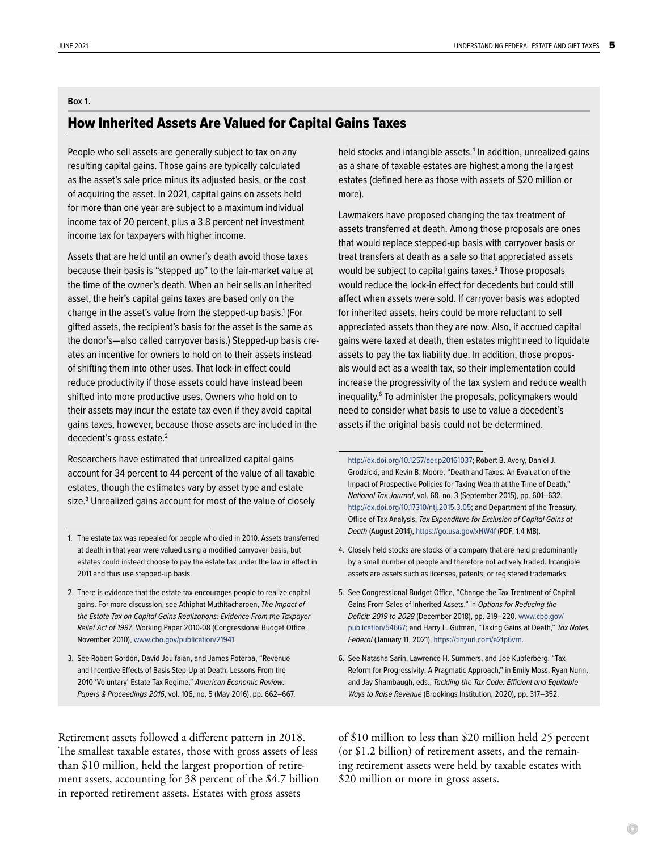#### <span id="page-4-0"></span>**Box 1.**

# How Inherited Assets Are Valued for Capital Gains Taxes

People who sell assets are generally subject to tax on any resulting capital gains. Those gains are typically calculated as the asset's sale price minus its adjusted basis, or the cost of acquiring the asset. In 2021, capital gains on assets held for more than one year are subject to a maximum individual income tax of 20 percent, plus a 3.8 percent net investment income tax for taxpayers with higher income.

Assets that are held until an owner's death avoid those taxes because their basis is "stepped up" to the fair-market value at the time of the owner's death. When an heir sells an inherited asset, the heir's capital gains taxes are based only on the change in the asset's value from the stepped-up basis.<sup>1</sup> (For gifted assets, the recipient's basis for the asset is the same as the donor's—also called carryover basis.) Stepped-up basis creates an incentive for owners to hold on to their assets instead of shifting them into other uses. That lock-in effect could reduce productivity if those assets could have instead been shifted into more productive uses. Owners who hold on to their assets may incur the estate tax even if they avoid capital gains taxes, however, because those assets are included in the decedent's gross estate.<sup>2</sup>

Researchers have estimated that unrealized capital gains account for 34 percent to 44 percent of the value of all taxable estates, though the estimates vary by asset type and estate size.3 Unrealized gains account for most of the value of closely

Retirement assets followed a different pattern in 2018. The smallest taxable estates, those with gross assets of less than \$10 million, held the largest proportion of retirement assets, accounting for 38 percent of the \$4.7 billion in reported retirement assets. Estates with gross assets

held stocks and intangible assets.<sup>4</sup> In addition, unrealized gains as a share of taxable estates are highest among the largest estates (defined here as those with assets of \$20 million or more).

Lawmakers have proposed changing the tax treatment of assets transferred at death. Among those proposals are ones that would replace stepped-up basis with carryover basis or treat transfers at death as a sale so that appreciated assets would be subject to capital gains taxes.<sup>5</sup> Those proposals would reduce the lock-in effect for decedents but could still affect when assets were sold. If carryover basis was adopted for inherited assets, heirs could be more reluctant to sell appreciated assets than they are now. Also, if accrued capital gains were taxed at death, then estates might need to liquidate assets to pay the tax liability due. In addition, those proposals would act as a wealth tax, so their implementation could increase the progressivity of the tax system and reduce wealth inequality.6 To administer the proposals, policymakers would need to consider what basis to use to value a decedent's assets if the original basis could not be determined.

[http://dx.doi.org/10.1257/aer.p20161037;](http://dx.doi.org/10.1257/aer.p20161037) Robert B. Avery, Daniel J. Grodzicki, and Kevin B. Moore, "Death and Taxes: An Evaluation of the Impact of Prospective Policies for Taxing Wealth at the Time of Death," *National Tax Journal*, vol. 68, no. 3 (September 2015), pp. 601–632, <http://dx.doi.org/10.17310/ntj.2015.3.05>; and Department of the Treasury, Office of Tax Analysis, *Tax Expenditure for Exclusion of Capital Gains at Death* (August 2014),<https://go.usa.gov/xHW4f>(PDF, 1.4 MB).

- 4. Closely held stocks are stocks of a company that are held predominantly by a small number of people and therefore not actively traded. Intangible assets are assets such as licenses, patents, or registered trademarks.
- 5. See Congressional Budget Office, "Change the Tax Treatment of Capital Gains From Sales of Inherited Assets," in *Options for Reducing the Deficit: 2019 to 2028* (December 2018), pp. 219–220, [www.cbo.gov/](http://www.cbo.gov/publication/54667) [publication/54667;](http://www.cbo.gov/publication/54667) and Harry L. Gutman, "Taxing Gains at Death," *Tax Notes Federal* (January 11, 2021), [https://tinyurl.com/a2tp6vrn.](https://tinyurl.com/a2tp6vrn)
- 6. See Natasha Sarin, Lawrence H. Summers, and Joe Kupferberg, "Tax Reform for Progressivity: A Pragmatic Approach," in Emily Moss, Ryan Nunn, and Jay Shambaugh, eds., *Tackling the Tax Code: Efficient and Equitable Ways to Raise Revenue* (Brookings Institution, 2020), pp. 317–352.

of \$10 million to less than \$20 million held 25 percent (or \$1.2 billion) of retirement assets, and the remaining retirement assets were held by taxable estates with \$20 million or more in gross assets.

<sup>1.</sup> The estate tax was repealed for people who died in 2010. Assets transferred at death in that year were valued using a modified carryover basis, but estates could instead choose to pay the estate tax under the law in effect in 2011 and thus use stepped-up basis.

<sup>2.</sup> There is evidence that the estate tax encourages people to realize capital gains. For more discussion, see Athiphat Muthitacharoen, *The Impact of the Estate Tax on Capital Gains Realizations: Evidence From the Taxpayer Relief Act of 1997*, Working Paper 2010-08 (Congressional Budget Office, November 2010), [www.cbo.gov/publication/21941.](http://www.cbo.gov/publication/21941)

<sup>3.</sup> See Robert Gordon, David Joulfaian, and James Poterba, "Revenue and Incentive Effects of Basis Step-Up at Death: Lessons From the 2010 'Voluntary' Estate Tax Regime," *American Economic Review: Papers & Proceedings 2016*, vol. 106, no. 5 (May 2016), pp. 662–667,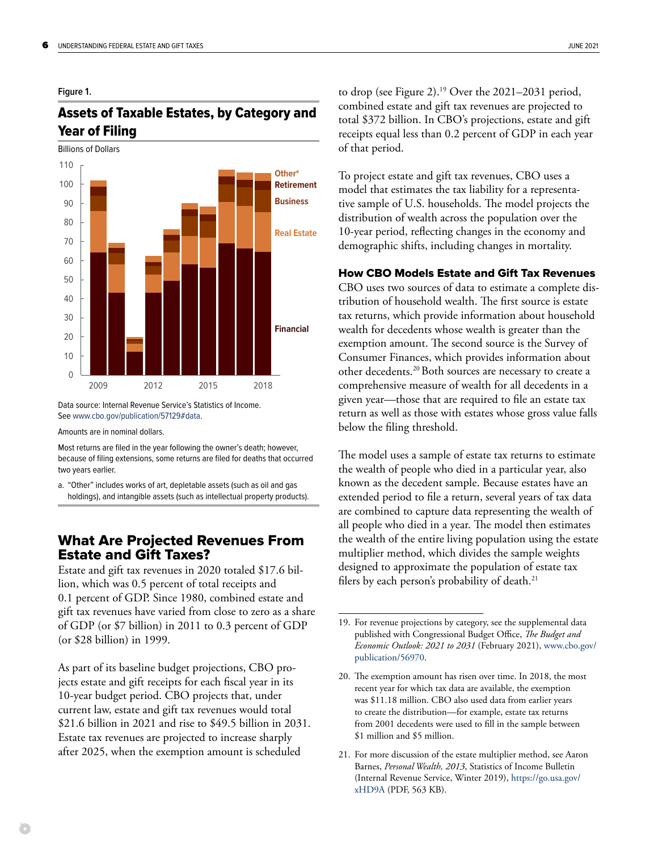#### <span id="page-5-0"></span>**Figure 1.**

# Assets of Taxable Estates, by Category and Year of Filing



Data source: Internal Revenue Service's Statistics of Income. See [www.cbo.gov/publication/57129#data.](http://www.cbo.gov/publication/57129#data)

Amounts are in nominal dollars.

Most returns are filed in the year following the owner's death; however, because of filing extensions, some returns are filed for deaths that occurred two years earlier.

a. "Other" includes works of art, depletable assets (such as oil and gas holdings), and intangible assets (such as intellectual property products).

# What Are Projected Revenues From Estate and Gift Taxes?

Estate and gift tax revenues in 2020 totaled \$17.6 billion, which was 0.5 percent of total receipts and 0.1 percent of GDP. Since 1980, combined estate and gift tax revenues have varied from close to zero as a share of GDP (or \$7 billion) in 2011 to 0.3 percent of GDP (or \$28 billion) in 1999.

As part of its baseline budget projections, CBO projects estate and gift receipts for each fiscal year in its 10-year budget period. CBO projects that, under current law, estate and gift tax revenues would total \$21.6 billion in 2021 and rise to \$49.5 billion in 2031. Estate tax revenues are projected to increase sharply after 2025, when the exemption amount is scheduled

to drop (see [Figure 2\)](#page-7-0).19 Over the 2021–2031 period, combined estate and gift tax revenues are projected to total \$372 billion. In CBO's projections, estate and gift receipts equal less than 0.2 percent of GDP in each year of that period.

To project estate and gift tax revenues, CBO uses a model that estimates the tax liability for a representative sample of U.S. households. The model projects the distribution of wealth across the population over the 10-year period, reflecting changes in the economy and demographic shifts, including changes in mortality.

#### How CBO Models Estate and Gift Tax Revenues

CBO uses two sources of data to estimate a complete distribution of household wealth. The first source is estate tax returns, which provide information about household wealth for decedents whose wealth is greater than the exemption amount. The second source is the Survey of Consumer Finances, which provides information about other decedents.20 Both sources are necessary to create a comprehensive measure of wealth for all decedents in a given year—those that are required to file an estate tax return as well as those with estates whose gross value falls below the filing threshold.

The model uses a sample of estate tax returns to estimate the wealth of people who died in a particular year, also known as the decedent sample. Because estates have an extended period to file a return, several years of tax data are combined to capture data representing the wealth of all people who died in a year. The model then estimates the wealth of the entire living population using the estate multiplier method, which divides the sample weights designed to approximate the population of estate tax filers by each person's probability of death.<sup>21</sup>

<sup>19.</sup> For revenue projections by category, see the supplemental data published with Congressional Budget Office, *The Budget and Economic Outlook: 2021 to 2031* (February 2021), [www.cbo.gov/](http://www.cbo.gov/publication/56970) [publication/56970](http://www.cbo.gov/publication/56970).

<sup>20.</sup> The exemption amount has risen over time. In 2018, the most recent year for which tax data are available, the exemption was \$11.18 million. CBO also used data from earlier years to create the distribution—for example, estate tax returns from 2001 decedents were used to fill in the sample between \$1 million and \$5 million.

<sup>21.</sup> For more discussion of the estate multiplier method, see Aaron Barnes, *Personal Wealth, 2013*, Statistics of Income Bulletin (Internal Revenue Service, Winter 2019), [https://go.usa.gov/](https://go.usa.gov/xHD9A) [xHD9A](https://go.usa.gov/xHD9A) (PDF, 563 KB).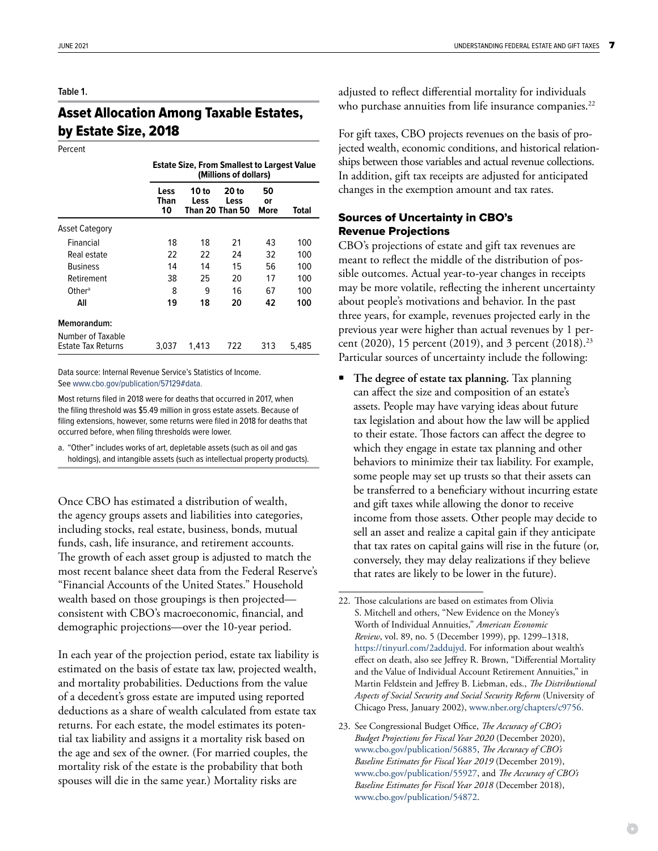#### <span id="page-6-0"></span>**Table 1.**

# Asset Allocation Among Taxable Estates, by Estate Size, 2018

Percent

|                                         | <b>Estate Size, From Smallest to Largest Value</b><br>(Millions of dollars) |               |                                  |                  |       |
|-----------------------------------------|-----------------------------------------------------------------------------|---------------|----------------------------------|------------------|-------|
|                                         | Less<br>Than<br>10                                                          | 10 to<br>Less | 20 to<br>Less<br>Than 20 Than 50 | 50<br>or<br>More | Total |
| <b>Asset Category</b>                   |                                                                             |               |                                  |                  |       |
| Financial                               | 18                                                                          | 18            | 21                               | 43               | 100   |
| Real estate                             | 22                                                                          | 22            | 24                               | 32               | 100   |
| <b>Business</b>                         | 14                                                                          | 14            | 15                               | 56               | 100   |
| Retirement                              | 38                                                                          | 25            | 20                               | 17               | 100   |
| Other <sup>a</sup>                      | 8                                                                           | 9             | 16                               | 67               | 100   |
| All                                     | 19                                                                          | 18            | 20                               | 42               | 100   |
| Memorandum:                             |                                                                             |               |                                  |                  |       |
| Number of Taxable<br>Estate Tax Returns | 3,037                                                                       | 1,413         | 722                              | 313              | 5,485 |

Data source: Internal Revenue Service's Statistics of Income. See [www.cbo.gov/publication/57129#data.](http://www.cbo.gov/publication/57129#data)

Most returns filed in 2018 were for deaths that occurred in 2017, when the filing threshold was \$5.49 million in gross estate assets. Because of filing extensions, however, some returns were filed in 2018 for deaths that occurred before, when filing thresholds were lower.

a. "Other" includes works of art, depletable assets (such as oil and gas holdings), and intangible assets (such as intellectual property products).

Once CBO has estimated a distribution of wealth, the agency groups assets and liabilities into categories, including stocks, real estate, business, bonds, mutual funds, cash, life insurance, and retirement accounts. The growth of each asset group is adjusted to match the most recent balance sheet data from the Federal Reserve's "Financial Accounts of the United States." Household wealth based on those groupings is then projected consistent with CBO's macroeconomic, financial, and demographic projections—over the 10-year period.

In each year of the projection period, estate tax liability is estimated on the basis of estate tax law, projected wealth, and mortality probabilities. Deductions from the value of a decedent's gross estate are imputed using reported deductions as a share of wealth calculated from estate tax returns. For each estate, the model estimates its potential tax liability and assigns it a mortality risk based on the age and sex of the owner. (For married couples, the mortality risk of the estate is the probability that both spouses will die in the same year.) Mortality risks are

adjusted to reflect differential mortality for individuals who purchase annuities from life insurance companies.<sup>22</sup>

For gift taxes, CBO projects revenues on the basis of projected wealth, economic conditions, and historical relationships between those variables and actual revenue collections. In addition, gift tax receipts are adjusted for anticipated changes in the exemption amount and tax rates.

#### Sources of Uncertainty in CBO's Revenue Projections

CBO's projections of estate and gift tax revenues are meant to reflect the middle of the distribution of possible outcomes. Actual year-to-year changes in receipts may be more volatile, reflecting the inherent uncertainty about people's motivations and behavior. In the past three years, for example, revenues projected early in the previous year were higher than actual revenues by 1 percent (2020), 15 percent (2019), and 3 percent (2018).<sup>23</sup> Particular sources of uncertainty include the following:

• **The degree of estate tax planning.** Tax planning can affect the size and composition of an estate's assets. People may have varying ideas about future tax legislation and about how the law will be applied to their estate. Those factors can affect the degree to which they engage in estate tax planning and other behaviors to minimize their tax liability. For example, some people may set up trusts so that their assets can be transferred to a beneficiary without incurring estate and gift taxes while allowing the donor to receive income from those assets. Other people may decide to sell an asset and realize a capital gain if they anticipate that tax rates on capital gains will rise in the future (or, conversely, they may delay realizations if they believe that rates are likely to be lower in the future).

<sup>22.</sup> Those calculations are based on estimates from Olivia S. Mitchell and others, "New Evidence on the Money's Worth of Individual Annuities," *American Economic Review*, vol. 89, no. 5 (December 1999), pp. 1299–1318, <https://tinyurl.com/2addujyd>. For information about wealth's effect on death, also see Jeffrey R. Brown, "Differential Mortality and the Value of Individual Account Retirement Annuities," in Martin Feldstein and Jeffrey B. Liebman, eds., *The Distributional Aspects of Social Security and Social Security Reform* (University of Chicago Press, January 2002), [www.nber.org/chapters/c9756](http://www.nber.org/chapters/c9756).

<sup>23.</sup> See Congressional Budget Office, *The Accuracy of CBO's Budget Projections for Fiscal Year 2020* (December 2020), [www.cbo.gov/publication/56885](http://www.cbo.gov/publication/56885), *The Accuracy of CBO's Baseline Estimates for Fiscal Year 2019* (December 2019), [www.cbo.gov/publication/55927](http://www.cbo.gov/publication/55927), and *The Accuracy of CBO's Baseline Estimates for Fiscal Year 2018* (December 2018), [www.cbo.gov/publication/54872](http://www.cbo.gov/publication/54872).